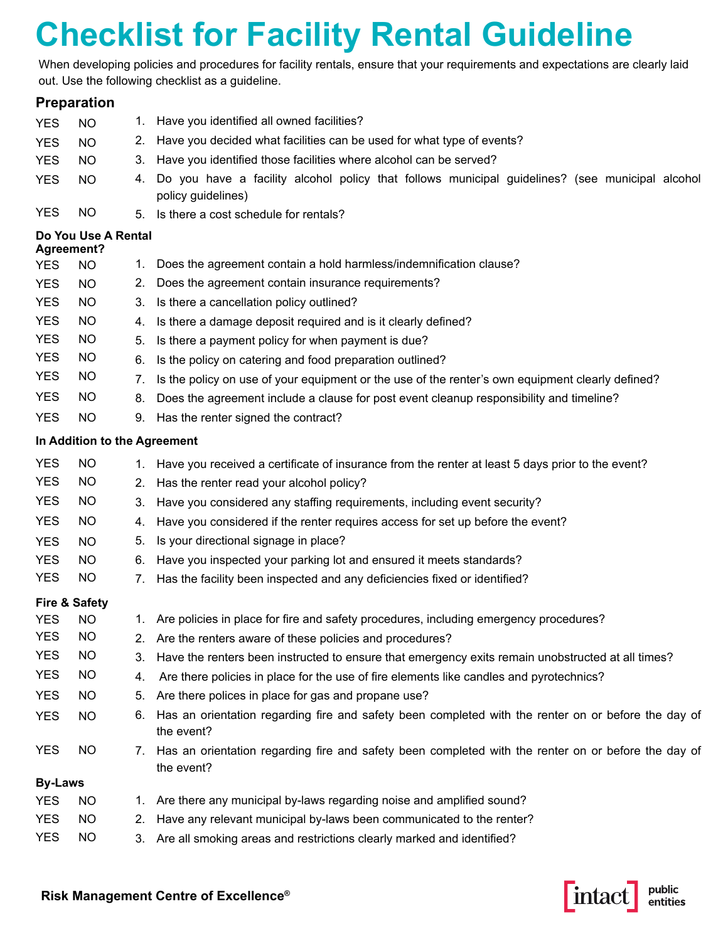## **Checklist for Facility Rental Guideline**

When developing policies and procedures for facility rentals, ensure that your requirements and expectations are clearly laid out. Use the following checklist as a guideline.

|                          | <b>Preparation</b>           |    |                                                                                                                       |  |  |  |  |  |
|--------------------------|------------------------------|----|-----------------------------------------------------------------------------------------------------------------------|--|--|--|--|--|
| <b>YES</b>               | <b>NO</b>                    | 1. | Have you identified all owned facilities?                                                                             |  |  |  |  |  |
| <b>YES</b>               | <b>NO</b>                    | 2. | Have you decided what facilities can be used for what type of events?                                                 |  |  |  |  |  |
| <b>YES</b>               | <b>NO</b>                    | 3. | Have you identified those facilities where alcohol can be served?                                                     |  |  |  |  |  |
| <b>YES</b>               | <b>NO</b>                    | 4. | Do you have a facility alcohol policy that follows municipal guidelines? (see municipal alcohol<br>policy guidelines) |  |  |  |  |  |
| <b>YES</b>               | <b>NO</b>                    | 5. | Is there a cost schedule for rentals?                                                                                 |  |  |  |  |  |
| Agreement?               | Do You Use A Rental          |    |                                                                                                                       |  |  |  |  |  |
| <b>YES</b>               | <b>NO</b>                    | 1. | Does the agreement contain a hold harmless/indemnification clause?                                                    |  |  |  |  |  |
| <b>YES</b>               | <b>NO</b>                    | 2. | Does the agreement contain insurance requirements?                                                                    |  |  |  |  |  |
| <b>YES</b>               | <b>NO</b>                    | 3. | Is there a cancellation policy outlined?                                                                              |  |  |  |  |  |
| <b>YES</b>               | NO.                          | 4. | Is there a damage deposit required and is it clearly defined?                                                         |  |  |  |  |  |
| <b>YES</b>               | <b>NO</b>                    | 5. | Is there a payment policy for when payment is due?                                                                    |  |  |  |  |  |
| <b>YES</b>               | NO.                          | 6. | Is the policy on catering and food preparation outlined?                                                              |  |  |  |  |  |
| <b>YES</b>               | <b>NO</b>                    | 7. | Is the policy on use of your equipment or the use of the renter's own equipment clearly defined?                      |  |  |  |  |  |
| <b>YES</b>               | <b>NO</b>                    | 8. | Does the agreement include a clause for post event cleanup responsibility and timeline?                               |  |  |  |  |  |
| <b>YES</b>               | <b>NO</b>                    | 9. | Has the renter signed the contract?                                                                                   |  |  |  |  |  |
|                          | In Addition to the Agreement |    |                                                                                                                       |  |  |  |  |  |
| <b>YES</b>               | <b>NO</b>                    |    | 1. Have you received a certificate of insurance from the renter at least 5 days prior to the event?                   |  |  |  |  |  |
| <b>YES</b>               | NO.                          | 2. | Has the renter read your alcohol policy?                                                                              |  |  |  |  |  |
| <b>YES</b>               | NO                           | 3. | Have you considered any staffing requirements, including event security?                                              |  |  |  |  |  |
| <b>YES</b>               | <b>NO</b>                    | 4. | Have you considered if the renter requires access for set up before the event?                                        |  |  |  |  |  |
| <b>YES</b>               | NO                           | 5. | Is your directional signage in place?                                                                                 |  |  |  |  |  |
| <b>YES</b>               | NO                           | 6. | Have you inspected your parking lot and ensured it meets standards?                                                   |  |  |  |  |  |
| <b>YES</b>               | NO                           | 7. | Has the facility been inspected and any deficiencies fixed or identified?                                             |  |  |  |  |  |
| <b>Fire &amp; Safety</b> |                              |    |                                                                                                                       |  |  |  |  |  |
| <b>YES</b>               | <b>NO</b>                    |    | 1. Are policies in place for fire and safety procedures, including emergency procedures?                              |  |  |  |  |  |
| <b>YES</b>               | <b>NO</b>                    |    | 2. Are the renters aware of these policies and procedures?                                                            |  |  |  |  |  |
| <b>YES</b>               | <b>NO</b>                    | 3. | Have the renters been instructed to ensure that emergency exits remain unobstructed at all times?                     |  |  |  |  |  |
| <b>YES</b>               | <b>NO</b>                    | 4. | Are there policies in place for the use of fire elements like candles and pyrotechnics?                               |  |  |  |  |  |
| <b>YES</b>               | <b>NO</b>                    | 5. | Are there polices in place for gas and propane use?                                                                   |  |  |  |  |  |
| <b>YES</b>               | <b>NO</b>                    | 6. | Has an orientation regarding fire and safety been completed with the renter on or before the day of<br>the event?     |  |  |  |  |  |
| <b>YES</b>               | <b>NO</b>                    | 7. | Has an orientation regarding fire and safety been completed with the renter on or before the day of<br>the event?     |  |  |  |  |  |
| <b>By-Laws</b>           |                              |    |                                                                                                                       |  |  |  |  |  |
| <b>YES</b>               | <b>NO</b>                    | 1. | Are there any municipal by-laws regarding noise and amplified sound?                                                  |  |  |  |  |  |
| <b>YES</b>               | <b>NO</b>                    | 2. | Have any relevant municipal by-laws been communicated to the renter?                                                  |  |  |  |  |  |
| <b>YES</b>               | <b>NO</b>                    | 3. | Are all smoking areas and restrictions clearly marked and identified?                                                 |  |  |  |  |  |